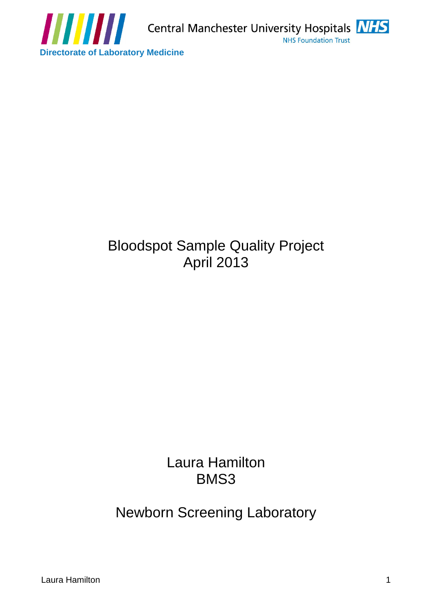

# The Christopher Medicine<br>
Bloodspot Sample Quality Project<br>
April 2013<br>
Laura Hamilton 1<br>
Bloodspot Sample Quality Project<br>
April 2013<br>
Newborn Screening Laboratory<br>
Laura Hamilton Bloodspot Sample Quality Project April 2013

Laura Hamilton BMS3 and the state of the state of the state of the state of the state of the state of the state of the state of the state of the state of the state of the state of the state of the state of the state of the state of the s

Newborn Screening Laboratory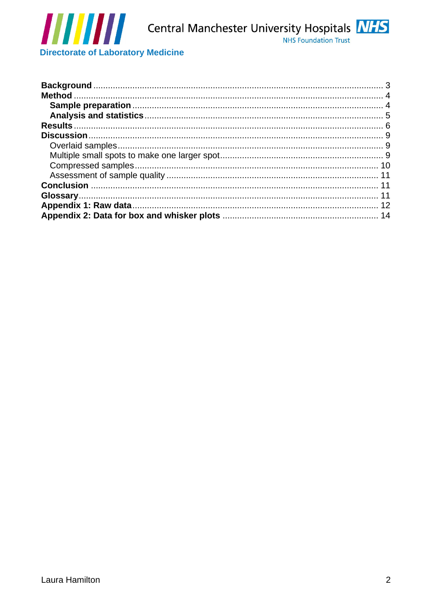

**Directorate of Laboratory Medicine**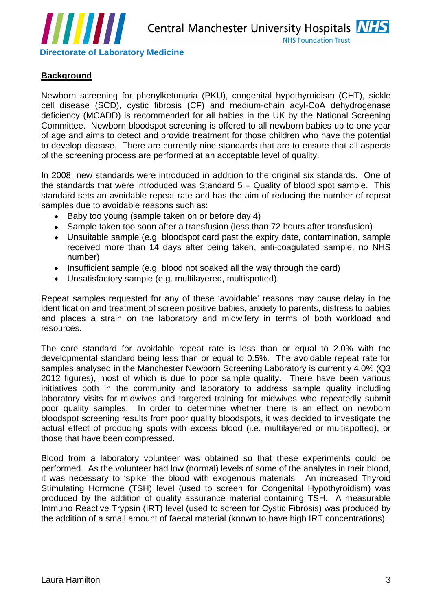

# **Background**

Newborn screening for phenylketonuria (PKU), congenital hypothyroidism (CHT), sickle cell disease (SCD), cystic fibrosis (CF) and medium-chain acyl-CoA dehydrogenase deficiency (MCADD) is recommended for all babies in the UK by the National Screening Committee. Newborn bloodspot screening is offered to all newborn babies up to one year of age and aims to detect and provide treatment for those children who have the potential to develop disease. There are currently nine standards that are to ensure that all aspects of the screening process are performed at an acceptable level of quality.

In 2008, new standards were introduced in addition to the original six standards. One of the standards that were introduced was Standard 5 – Quality of blood spot sample. This standard sets an avoidable repeat rate and has the aim of reducing the number of repeat samples due to avoidable reasons such as:

- Baby too young (sample taken on or before day 4)
- Sample taken too soon after a transfusion (less than 72 hours after transfusion)
- Unsuitable sample (e.g. bloodspot card past the expiry date, contamination, sample received more than 14 days after being taken, anti-coagulated sample, no NHS number)
- Insufficient sample (e.g. blood not soaked all the way through the card)
- Unsatisfactory sample (e.g. multilayered, multispotted).

Repeat samples requested for any of these 'avoidable' reasons may cause delay in the identification and treatment of screen positive babies, anxiety to parents, distress to babies and places a strain on the laboratory and midwifery in terms of both workload and resources. The contract of the contract of the contract of the contract of the contract of the contract of the contract of the contract of the contract of the contract of the contract of the contract of the contract of the

**Example the Example (Figure 11)**<br> **Example 11)**<br> **Example 11) Control in the control in the control in the control in the control in the control in the second formula Hamilton (EHT), is a<br>
Newton scenaring for phenylete** The core standard for avoidable repeat rate is less than or equal to 2.0% with the developmental standard being less than or equal to 0.5%. The avoidable repeat rate for samples analysed in the Manchester Newborn Screening Laboratory is currently 4.0% (Q3 2012 figures), most of which is due to poor sample quality. There have been various initiatives both in the community and laboratory to address sample quality including laboratory visits for midwives and targeted training for midwives who repeatedly submit poor quality samples. In order to determine whether there is an effect on newborn bloodspot screening results from poor quality bloodspots, it was decided to investigate the actual effect of producing spots with excess blood (i.e. multilayered or multispotted), or

those that have been compressed.<br>Blood from a laboratory volunteer was obtained so that these experiments could be performed. As the volunteer had low (normal) levels of some of the analytes in their blood, it was necessary to 'spike' the blood with exogenous materials. An increased Thyroid Stimulating Hormone (TSH) level (used to screen for Congenital Hypothyroidism) was produced by the addition of quality assurance material containing TSH. A measurable Immuno Reactive Trypsin (IRT) level (used to screen for Cystic Fibrosis) was produced by the addition of a small amount of faecal material (known to have high IRT concentrations).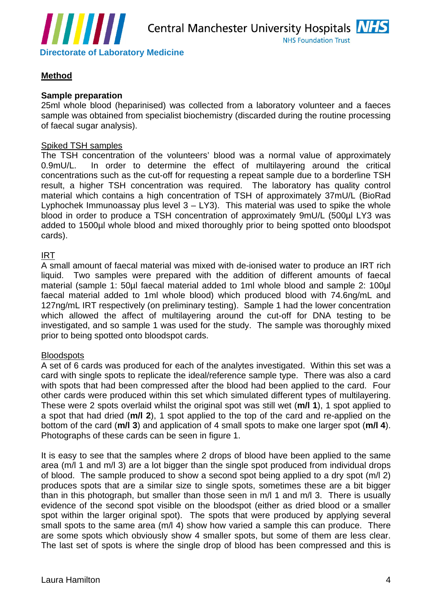

# **Method**

## **Sample preparation**

25ml whole blood (heparinised) was collected from a laboratory volunteer and a faeces sample was obtained from specialist biochemistry (discarded during the routine processing of faecal sugar analysis).

## Spiked TSH samples

The TSH concentration of the volunteers' blood was a normal value of approximately 0.9mU/L. In order to determine the effect of multilayering around the critical concentrations such as the cut-off for requesting a repeat sample due to a borderline TSH result, a higher TSH concentration was required. The laboratory has quality control material which contains a high concentration of TSH of approximately 37mU/L (BioRad Lyphochek Immunoassay plus level  $3 - LY3$ ). This material was used to spike the whole blood in order to produce a TSH concentration of approximately 9mU/L (500µl LY3 was added to 1500µl whole blood and mixed thoroughly prior to being spotted onto bloodspot cards).

## <u>IRT</u> and the second second second second second second second second second second second second second second

A small amount of faecal material was mixed with de-ionised water to produce an IRT rich liquid. Two samples were prepared with the addition of different amounts of faecal material (sample 1: 50µl faecal material added to 1ml whole blood and sample 2: 100µl faecal material added to 1ml whole blood) which produced blood with 74.6ng/mL and 127ng/mL IRT respectively (on preliminary testing). Sample 1 had the lower concentration which allowed the affect of multilayering around the cut-off for DNA testing to be investigated, and so sample 1 was used for the study. The sample was thoroughly mixed prior to being spotted onto bloodspot cards.

## <u>Bloodspots</u> in the second second second second second second second second second second second second second second second second second second second second second second second second second second second second second

A set of 6 cards was produced for each of the analytes investigated. Within this set was a card with single spots to replicate the ideal/reference sample type. There was also a card with spots that had been compressed after the blood had been applied to the card. Four other cards were produced within this set which simulated different types of multilayering. These were 2 spots overlaid whilst the original spot was still wet (**m/l 1**), 1 spot applied to a spot that had dried (**m/l 2**), 1 spot applied to the top of the card and re-applied on the bottom of the card (**m/l 3**) and application of 4 small spots to make one larger spot (**m/l 4**). Photographs of these cards can be seen in figure 1.

**EVENIES Associates of Laboratory Medicine**<br>
We have a **MET of Laboratory Medicine**<br>
Method<br> **Method**<br> **Method**<br> **Standard Method**<br> **Standard Method**<br> **Standard Method**<br> **Standard Method**<br> **Standard Method**<br> **Standard Meth** It is easy to see that the samples where 2 drops of blood have been applied to the same area (m/l 1 and m/l 3) are a lot bigger than the single spot produced from individual drops of blood. The sample produced to show a second spot being applied to a dry spot (m/l 2) produces spots that are a similar size to single spots, sometimes these are a bit bigger than in this photograph, but smaller than those seen in m/l 1 and m/l 3. There is usually evidence of the second spot visible on the bloodspot (either as dried blood or a smaller spot within the larger original spot). The spots that were produced by applying several small spots to the same area (m/l 4) show how varied a sample this can produce. There are some spots which obviously show 4 smaller spots, but some of them are less clear. The last set of spots is where the single drop of blood has been compressed and this is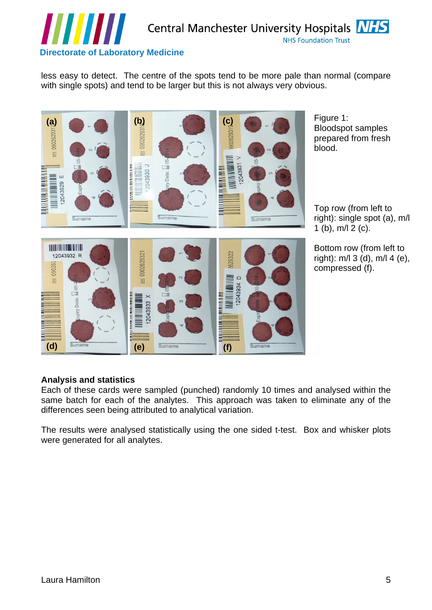

less easy to detect. The centre of the spots tend to be more pale than normal (compare with single spots) and tend to be larger but this is not always very obvious.



Figure 1: Bloodspot samples prepared from fresh blood. The contract of the contract of the contract of the contract of the contract of the contract of the contract of the contract of the contract of the contract of the contract of the contract of the contract of the con

Top row (from left to right): single spot (a), m/l 1 (b), m/l 2 (c).

Bottom row (from left to right): m/l 3 (d), m/l 4 (e),

**Analysis and statistics** Each of these cards were sampled (punched) randomly 10 times and analysed within the same batch for each of the analytes. This approach was taken to eliminate any of the differences seen being attributed to analytical variation.

The results were analysed statistically using the one sided t-test. Box and whisker plots were generated for all analytes.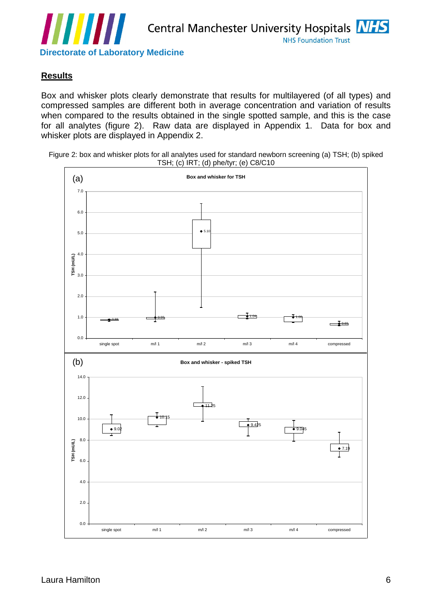

# **Results**

Box and whisker plots clearly demonstrate that results for multilayered (of all types) and compressed samples are different both in average concentration and variation of results when compared to the results obtained in the single spotted sample, and this is the case for all analytes (figure 2). Raw data are displayed in Appendix 1. Data for box and whisker plots are displayed in Appendix 2.

Figure 2: box and whisker plots for all analytes used for standard newborn screening (a) TSH; (b) spiked TSH; (c) IRT; (d) phe/tyr; (e) C8/C10

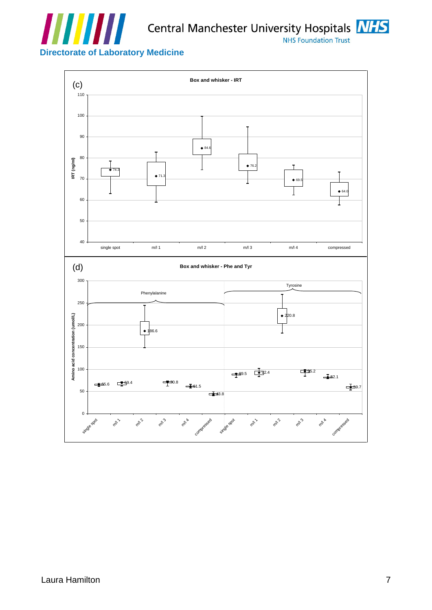

Central Manchester University Hospitals **NHS** 



# **Directorate of Laboratory Medicine**

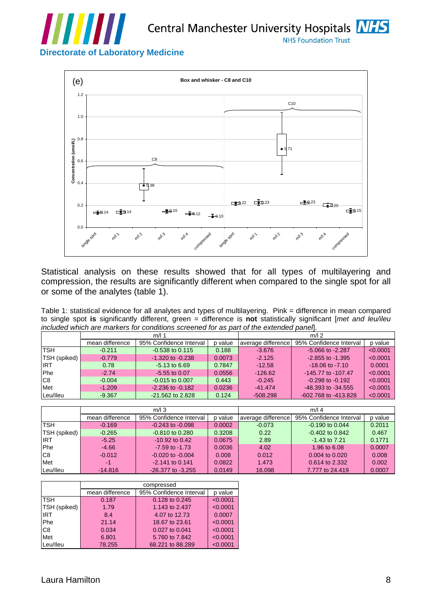

Central Manchester University Hospitals NHS

**Directorate of Laboratory Medicine**



Statistical analysis on these results showed that for all types of multilayering and compression, the results are significantly different when compared to the single spot for all or some of the analytes (table 1).<br>Table 1: statistical evidence for all analytes and types of multilayering. Pink = difference in mean compared

to single spot **is** significantly different, green = difference is **not** statistically significant [met and leu/ileu included which are markers for conditions screened for as part of the extended panel].

|                     |                     | mean difference 95% Confidence Interval | o value |            | average difference 95% Confidence Interval | p value       |  |  |  |
|---------------------|---------------------|-----------------------------------------|---------|------------|--------------------------------------------|---------------|--|--|--|
| TSH                 | $-0.211$            | $-0.538$ to $0.115$                     | 0.188   | $-3.676$   | $-5.066$ to $-2.287$                       | < 0.0001      |  |  |  |
| <b>TSH</b> (spiked) | $-0.779$            | $-1.320$ to $-0.238$                    | 0.0073  | $-2.125$   | $-2.855$ to $-1.395$                       | < 0.0001      |  |  |  |
|                     | 0.78                | 5.13 to 6.69                            | 0.7847  | $-12.58$   | $-18.06$ to $-7.10$                        | 0.0001        |  |  |  |
| Phe.                | $-2.74$             | 5.55 to 0.07                            | 0.0556  | $-126.62$  | -145.77 to -107.47                         | < 0.0001      |  |  |  |
| C <sub>8</sub>      | $-0.004$            | 0.015 to 0.007                          | 0.443   | $-0.245$   | $-0.298$ to $-0.192$                       | < 0.0001      |  |  |  |
|                     | _______<br>$-1.209$ | $-2.236$ to $-0.182$                    | 0.0236  | $-41.474$  | -48.393 to -34.555                         | $\leq 0.0001$ |  |  |  |
| Leu/lleu            | $-9.367$            | -21.562 to 2.828                        | 0.124   | $-508.29'$ | -602.768 to -413.828                       | $\sim 0.0001$ |  |  |  |

|                     | mean difference | 95% Confidence Interval | p value |        | average difference 95% Confidence Interval | p value |
|---------------------|-----------------|-------------------------|---------|--------|--------------------------------------------|---------|
| TSH                 | $-0.169$        | $-0.243$ to $-0.098$    | 0.0002  | 0.073  | 0.190 to 0.044                             | 0.2011  |
| <b>TSH</b> (spiked) | $-0.265$        | 0.810 to 0.280          | 0.3208  | 0.22   | $-0.402$ to $0.842$                        | 0.467   |
| 10T                 | r or<br>-ə.zə   | $-10.92$ to 0.42        | 0.0675  | 2.89   | 1.43 to 7.21                               | 0.1771  |
| Phe                 | $-4.66$         | $-7.59$ to $-1.73$      | 0.0036  | 4.02   | 1.96 to 6.08                               | 0.0007  |
|                     | 0.012           | $-0.020$ to $-0.004$    | 0.008   | 0.012  | 0.004 to 0.020                             | 0.008   |
| Met                 |                 | $-2.141$ to 0.141       | 0.0822  | 1.473  | 0.614 to 2.332                             | 0.002   |
| Leu/lleu            | $-14.816$       | -26.377 to -3.255       | 0.0149  | 16.098 | 7.777 to 24.419                            | 0.0007  |

|              |        | compressed                                      |          |
|--------------|--------|-------------------------------------------------|----------|
|              |        | mean difference 95% Confidence Interval p value |          |
| <b>TSH</b>   | 0.187  | 0.128 to 0.245                                  | < 0.0001 |
| TSH (spiked) | 1.79   | 1.143 to 2.437                                  | < 0.0001 |
| DT           | 8.4    | 4.07 to 12.73                                   | 0.0007   |
| Phe          | 21.14  | 18.67 to 23.61                                  | < 0.0001 |
| $\sim$<br>ပ၀ | 0.034  | 0.027 to 0.041                                  | < 0.0001 |
| Met          | 6.801  | 5.760 to 7.842                                  | < 0.0001 |
| Leu/lleu     | 78.255 | 68.221 to 88.289                                | < 0.0001 |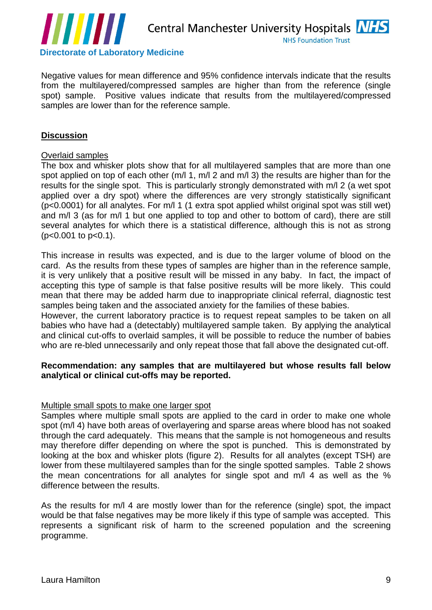

Negative values for mean difference and 95% confidence intervals indicate that the results from the multilayered/compressed samples are higher than from the reference (single spot) sample. Positive values indicate that results from the multilayered/compressed samples are lower than for the reference sample.

# **Discussion**

### Overlaid samples

**Example 18 and 18 and 18 and 18 and 18 and 18 and 18 and 18 and 18 and 18 and 18 and 18 and 18 and 18 and 18 and 18 and 18 and 18 and 18 and 18 and 18 and 18 and 18 and 18 and 18 and 18 and 18 and 18 and 18 and 18 and 18** The box and whisker plots show that for all multilayered samples that are more than one spot applied on top of each other (m/l 1, m/l 2 and m/l 3) the results are higher than for the results for the single spot. This is particularly strongly demonstrated with m/l 2 (a wet spot applied over a dry spot) where the differences are very strongly statistically significant  $(p<0.0001)$  for all analytes. For m/l 1 (1 extra spot applied whilst original spot was still wet) and m/l 3 (as for m/l 1 but one applied to top and other to bottom of card), there are still several analytes for which there is a statistical difference, although this is not as strong (p<0.001 to p<0.1).

 This increase in results was expected, and is due to the larger volume of blood on the card. As the results from these types of samples are higher than in the reference sample, it is very unlikely that a positive result will be missed in any baby. In fact, the impact of accepting this type of sample is that false positive results will be more likely. This could mean that there may be added harm due to inappropriate clinical referral, diagnostic test samples being taken and the associated anxiety for the families of these babies.

However, the current laboratory practice is to request repeat samples to be taken on all babies who have had a (detectably) multilayered sample taken. By applying the analytical and clinical cut-offs to overlaid samples, it will be possible to reduce the number of babies who are re-bled unnecessarily and only repeat those that fall above the designated cut-off.

## **Recommendation: any samples that are multilayered but whose results fall below analytical or clinical cut-offs may be reported.**

#### Multiple small spots to make one larger spot

Samples where multiple small spots are applied to the card in order to make one whole spot (m/l 4) have both areas of overlayering and sparse areas where blood has not soaked through the card adequately. This means that the sample is not homogeneous and results may therefore differ depending on where the spot is punched. This is demonstrated by looking at the box and whisker plots (figure 2). Results for all analytes (except TSH) are lower from these multilayered samples than for the single spotted samples. Table 2 shows the mean concentrations for all analytes for single spot and m/l 4 as well as the %

difference between the results.<br>As the results for m/l 4 are mostly lower than for the reference (single) spot, the impact would be that false negatives may be more likely if this type of sample was accepted. This represents a significant risk of harm to the screened population and the screening programme.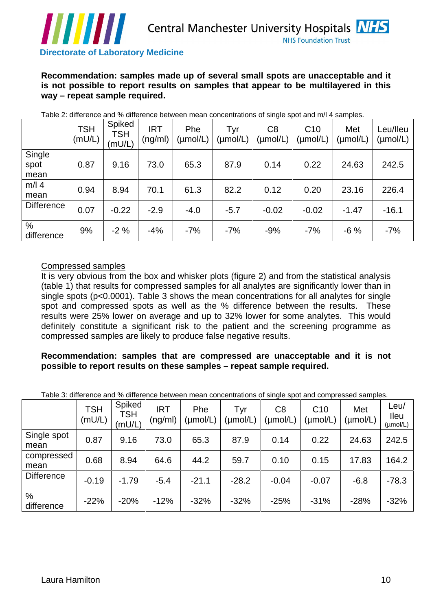

| <i>.</i><br><b>Directorate of Laboratory Medicine</b>                                                                                                                 |                                          |                                                                                                                                 |         |                                                                                                                                                                                                                                                                                                                                                                                                                                                                                                                                                                                                                                              |                                | <b>NHS Foundation Trust</b>     |                             |                         |
|-----------------------------------------------------------------------------------------------------------------------------------------------------------------------|------------------------------------------|---------------------------------------------------------------------------------------------------------------------------------|---------|----------------------------------------------------------------------------------------------------------------------------------------------------------------------------------------------------------------------------------------------------------------------------------------------------------------------------------------------------------------------------------------------------------------------------------------------------------------------------------------------------------------------------------------------------------------------------------------------------------------------------------------------|--------------------------------|---------------------------------|-----------------------------|-------------------------|
| Recommendation: samples made up of several small spots are unacceptable and it<br>is not possible to report results on samples that appear to be multilayered in this |                                          | way - repeat sample required.                                                                                                   |         |                                                                                                                                                                                                                                                                                                                                                                                                                                                                                                                                                                                                                                              |                                |                                 |                             |                         |
|                                                                                                                                                                       |                                          |                                                                                                                                 |         | Table 2: difference and % difference between mean concentrations of single spot and m/l 4 samples.                                                                                                                                                                                                                                                                                                                                                                                                                                                                                                                                           |                                |                                 |                             |                         |
|                                                                                                                                                                       | Spiked<br><b>TSH</b><br>(mU/L)<br>(mU/L) | <b>IRT</b><br><b>TSH</b>                                                                                                        | Phe     | Tyr<br>$\left\lceil \pmod{m}\right\rceil \big  \pmod{L} \big  \pmod{L} \big  \pmod{L} \big  \pmod{L} \big  \pmod{L} \big  \pmod{L} \big  \pmod{L} \big $                                                                                                                                                                                                                                                                                                                                                                                                                                                                                     | C8                             | C10                             | Met                         | Leu/lleu                |
| Single<br>spot<br>mean                                                                                                                                                | 0.87                                     | 9.16<br>73.0                                                                                                                    | 65.3    | 87.9                                                                                                                                                                                                                                                                                                                                                                                                                                                                                                                                                                                                                                         | 0.14                           | 0.22                            | 24.63                       | 242.5                   |
| $m/l$ 4<br>mean                                                                                                                                                       | 0.94<br>8.94                             | 70.1                                                                                                                            | 61.3    | 82.2                                                                                                                                                                                                                                                                                                                                                                                                                                                                                                                                                                                                                                         | 0.12                           | 0.20                            | 23.16                       | 226.4                   |
| Difference                                                                                                                                                            | $-0.22$<br>0.07                          | $-2.9$                                                                                                                          | $-4.0$  | $-5.7$                                                                                                                                                                                                                                                                                                                                                                                                                                                                                                                                                                                                                                       | $-0.02$                        | $-0.02$                         | $-1.47$                     | $-16.1$                 |
| difference                                                                                                                                                            | $-2%$<br>9%                              | -4%                                                                                                                             | -7%     | -7%                                                                                                                                                                                                                                                                                                                                                                                                                                                                                                                                                                                                                                          | -9%                            | -7%                             | -6 %                        | -7%                     |
| compressed samples are likely to produce false negative results.<br>Recommendation: samples that are compressed are unacceptable and it is not                        |                                          |                                                                                                                                 |         | It is very obvious from the box and whisker plots (figure 2) and from the statistical analysis<br>(table 1) that results for compressed samples for all analytes are significantly lower than in<br>single spots (p<0.0001). Table 3 shows the mean concentrations for all analytes for single<br>spot and compressed spots as well as the % difference between the results. These<br>results were 25% lower on average and up to 32% lower for some analytes. This would<br>definitely constitute a significant risk to the patient and the screening programme as<br>possible to report results on these samples - repeat sample required. |                                |                                 |                             |                         |
|                                                                                                                                                                       |                                          |                                                                                                                                 |         | Table 3: difference and % difference between mean concentrations of single spot and compressed samples.                                                                                                                                                                                                                                                                                                                                                                                                                                                                                                                                      |                                |                                 |                             | Leu/                    |
|                                                                                                                                                                       | <b>TSH</b><br>(mU/L)                     | Spiked<br>TSH<br><b>IRT</b><br>$\mathcal{L}$ )   $\frac{\mathcal{L}(\mathsf{mU/L})}{\mathcal{L}(\mathsf{mU/L})}$   (ng/ml)   ۱۳ | Phe     | $\vert$ (µmol/L) $\vert$ (µmol/L)                                                                                                                                                                                                                                                                                                                                                                                                                                                                                                                                                                                                            | C <sub>8</sub><br>$\mu$ mol/L) | C10<br>$\vert$ (µmol/L) $\vert$ | Met<br>$(\mu \text{mol/L})$ | $\vert$ lleu<br>(µmol/L |
| Single spot<br>mean                                                                                                                                                   | 0.87                                     | 9.16<br>73.0                                                                                                                    | 65.3    | 87.9                                                                                                                                                                                                                                                                                                                                                                                                                                                                                                                                                                                                                                         | 0.14                           | 0.22                            |                             | 24.63 242.5             |
| compressed<br>mean                                                                                                                                                    | 0.68                                     | 8.94<br>64.6                                                                                                                    | 44.2    | 59.7                                                                                                                                                                                                                                                                                                                                                                                                                                                                                                                                                                                                                                         | 0.10                           | 0.15                            | 17.83   164.2               |                         |
| Difference                                                                                                                                                            | $-0.19$                                  | $-1.79$<br>$-5.4$                                                                                                               | $-21.1$ | $-28.2$                                                                                                                                                                                                                                                                                                                                                                                                                                                                                                                                                                                                                                      | $-0.04$                        | $-0.07$                         | $-6.8$                      | $-78.3$                 |
| difference                                                                                                                                                            | $-22%$                                   | $-20%$<br>$-12%$                                                                                                                | $-32%$  | $-32%$                                                                                                                                                                                                                                                                                                                                                                                                                                                                                                                                                                                                                                       | $-25%$                         | $-31%$                          | $-28\%$ $-32\%$             |                         |
| Laura Hamilton                                                                                                                                                        |                                          |                                                                                                                                 |         |                                                                                                                                                                                                                                                                                                                                                                                                                                                                                                                                                                                                                                              |                                |                                 |                             | $10^{-7}$               |

#### Compressed samples

## **Recommendation: samples that are compressed are unacceptable and it is not possible to report results on these samples – repeat sample required.**

|                     |         |                                    | Table 5. unleased and 70 unleastle between mean concentrations or single spot and compressed samples.                                                                                                                                                                                                                                                                                                                                                                          |        |         |        |         |               |                 |
|---------------------|---------|------------------------------------|--------------------------------------------------------------------------------------------------------------------------------------------------------------------------------------------------------------------------------------------------------------------------------------------------------------------------------------------------------------------------------------------------------------------------------------------------------------------------------|--------|---------|--------|---------|---------------|-----------------|
|                     | mU/L)   | ∣ Spiked '<br><b>TSH</b><br>(mU/L) | <b>IDT</b><br>$\left(\begin{array}{c c} \mid R\mathsf{T} \mid & \mathsf{Phe} \mid \mathsf{Typ} \mid \mathsf{Jyr} \mid \mathsf{CB} \mid \mathsf{C} \mathsf{10} \mid \mathsf{Met} \mid \mathsf{B} \mid \mathsf{B} \mid \mathsf{B} \mid \mathsf{B} \mid \mathsf{B} \mid \mathsf{B} \mid \mathsf{B} \mid \mathsf{B} \mid \mathsf{B} \mid \mathsf{B} \mid \mathsf{B} \mid \mathsf{B} \mid \mathsf{B} \mid \mathsf{B} \mid \mathsf{B} \mid \mathsf{B} \mid \mathsf{B} \mid \mathsf{$ |        |         |        |         |               | Leu/            |
| Single spot<br>mean | 0.87    | 9.16                               | 73.0                                                                                                                                                                                                                                                                                                                                                                                                                                                                           | 65.3   |         |        | 0.22    | $24.63$ 242.5 |                 |
| compressed<br>mean  | 0.68    | 8.94                               | 64.6                                                                                                                                                                                                                                                                                                                                                                                                                                                                           | 44.2   | 59.7    | 0.10   | 0.15    |               | $17.83$   164.2 |
| Difference          | $-0.19$ | $-1.79$                            | $-5.4$                                                                                                                                                                                                                                                                                                                                                                                                                                                                         |        | $-28.2$ | -0.04  | $-0.07$ |               | $-6.8$ $-78.3$  |
| difference          |         | $-22\%$ $-20\%$                    | $-12%$                                                                                                                                                                                                                                                                                                                                                                                                                                                                         | $-32%$ | $-32%$  | $-25%$ | $-31%$  |               | $-28\%$ $-32\%$ |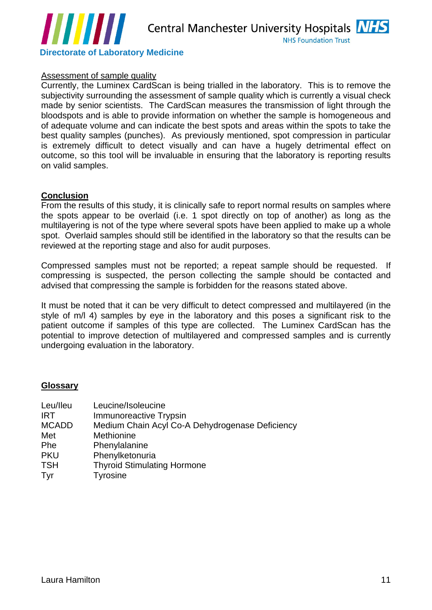

#### Assessment of sample quality

**Example of Laboratory Medicine**<br> **Elections of Laboratory Medicine**<br> **Assessment of Lample multips**<br> **Assessment of Lample multipse**<br> **Assessment of Lample multipse**<br> **Assessment of Lample multipse**<br> **Analysis with Scheri** Currently, the Luminex CardScan is being trialled in the laboratory. This is to remove the subjectivity surrounding the assessment of sample quality which is currently a visual check made by senior scientists. The CardScan measures the transmission of light through the bloodspots and is able to provide information on whether the sample is homogeneous and of adequate volume and can indicate the best spots and areas within the spots to take the best quality samples (punches). As previously mentioned, spot compression in particular is extremely difficult to detect visually and can have a hugely detrimental effect on outcome, so this tool will be invaluable in ensuring that the laboratory is reporting results on valid samples.

#### **Conclusion**

From the results of this study, it is clinically safe to report normal results on samples where the spots appear to be overlaid (i.e. 1 spot directly on top of another) as long as the multilayering is not of the type where several spots have been applied to make up a whole spot. Overlaid samples should still be identified in the laboratory so that the results can be reviewed at the reporting stage and also for audit purposes.

Compressed samples must not be reported; a repeat sample should be requested. If compressing is suspected, the person collecting the sample should be contacted and advised that compressing the sample is forbidden for the reasons stated above.

It must be noted that it can be very difficult to detect compressed and multilayered (in the style of m/l 4) samples by eye in the laboratory and this poses a significant risk to the patient outcome if samples of this type are collected. The Luminex CardScan has the potential to improve detection of multilayered and compressed samples and is currently undergoing evaluation in the laboratory.

## **Glossary**

| Leu/lleu     | Leucine/Isoleucine                              |
|--------------|-------------------------------------------------|
| <b>IRT</b>   | <b>Immunoreactive Trypsin</b>                   |
| <b>MCADD</b> | Medium Chain Acyl Co-A Dehydrogenase Deficiency |
| Met          | Methionine                                      |
| Phe          | Phenylalanine                                   |
| <b>PKU</b>   | Phenylketonuria                                 |
| <b>TSH</b>   | <b>Thyroid Stimulating Hormone</b>              |
| Tyr          | vrosine <sup>-</sup>                            |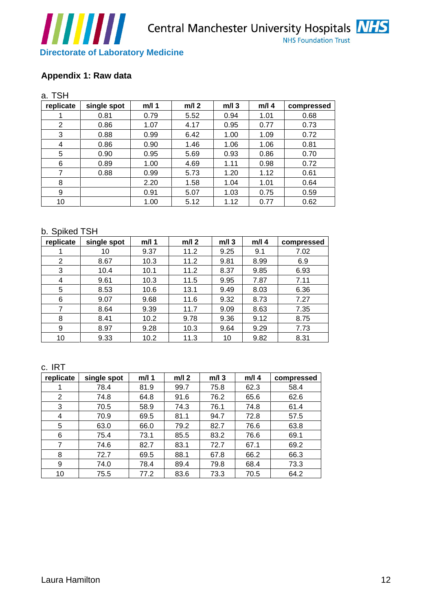



|                                   | ,,,,,,,,,,                                |              |              |                 |                 | <b>NHS Foundation Trust</b> |
|-----------------------------------|-------------------------------------------|--------------|--------------|-----------------|-----------------|-----------------------------|
|                                   | <b>Directorate of Laboratory Medicine</b> |              |              |                 |                 |                             |
|                                   |                                           |              |              |                 |                 |                             |
|                                   | Appendix 1: Raw data                      |              |              |                 |                 |                             |
|                                   |                                           |              |              |                 |                 |                             |
| a. TSH                            |                                           | $m/l$ 1      | $m/l$ 2      |                 |                 |                             |
| replicate                         | single spot<br>0.81                       | 0.79         | 5.52         | $m/l$ 3<br>0.94 | $m/l$ 4<br>1.01 | compressed<br>0.68          |
| $\overline{2}$                    | 0.86                                      | 1.07         | 4.17         | 0.95            | 0.77            | 0.73                        |
| 3 <sup>3</sup>                    | 0.88                                      | 0.99         | 6.42         | 1.00            | 1.09            | 0.72                        |
| $\overline{4}$                    | 0.86                                      | 0.90         | 1.46         | 1.06            | 1.06            | 0.81                        |
| 5 <sup>5</sup>                    | 0.90                                      | 0.95         | 5.69         | 0.93            | 0.86            | 0.70                        |
| 6                                 | 0.89                                      | 1.00         | 4.69         | 1.11            | 0.98            | 0.72                        |
| $\overline{7}$                    | 0.88                                      | 0.99         | 5.73         | 1.20            | 1.12            | 0.61                        |
| 8<br>9                            |                                           | 2.20<br>0.91 | 1.58<br>5.07 | 1.04<br>1.03    | 1.01<br>0.75    | 0.64<br>0.59                |
| 10                                |                                           | 1.00         | 5.12         | 1.12            | 0.77            | 0.62                        |
|                                   |                                           |              |              |                 |                 |                             |
|                                   |                                           |              |              |                 |                 |                             |
|                                   | b. Spiked TSH                             |              |              |                 |                 |                             |
|                                   | replicate   single spot                   | $m/l$ 1      | $m/l$ 2      | $m/l$ 3         |                 | $m/l$ 4 $\vert$ compressed  |
|                                   | 10 <sup>1</sup>                           | 9.37         | 11.2         | 9.25            | 9.1             | 7.02                        |
| $\overline{2}$<br>$\mathbf{3}$    | 8.67                                      | 10.3         | 11.2<br>11.2 | 9.81<br>8.37    | 8.99<br>9.85    | 6.9<br>6.93                 |
| $\overline{4}$                    | 10.4<br>9.61                              | 10.1<br>10.3 | 11.5         | 9.95            | 7.87            | 7.11                        |
| 5 <sup>5</sup>                    | 8.53                                      | 10.6         | 13.1         | 9.49            | 8.03            | 6.36                        |
| 6                                 | 9.07                                      | 9.68         | 11.6         | 9.32            | 8.73            | 7.27                        |
| $\overline{7}$                    | 8.64                                      | 9.39         | 11.7         | 9.09            | 8.63            | 7.35                        |
| 8                                 | 8.41                                      | 10.2         | 9.78         | 9.36            | 9.12            | 8.75                        |
| 9                                 | 8.97                                      | 9.28         | 10.3         | 9.64            | 9.29            | 7.73                        |
| 10                                | 9.33                                      | 10.2         | 11.3         | 10              | 9.82            | 8.31                        |
|                                   |                                           |              |              |                 |                 |                             |
| c. IRT                            |                                           |              |              |                 |                 |                             |
|                                   | replicate   single spot                   | $m/l$ 1      | $m/l$ 2      | $m/l$ 3         |                 | m/l 4   compressed          |
|                                   | 78.4                                      | 81.9         | 99.7         | 75.8            | 62.3            | 58.4                        |
| $\overline{2}$                    | 74.8                                      | 64.8         | 91.6         | 76.2            | 65.6            | 62.6                        |
| 3 <sup>1</sup>                    | 70.5                                      | 58.9         | 74.3         | 76.1            | 74.8            | 61.4                        |
| $\overline{4}$                    | 70.9                                      | 69.5         | 81.1         | 94.7            | 72.8            | 57.5                        |
| 5 <sup>5</sup>                    | 63.0                                      | 66.0         | 79.2         | 82.7            | 76.6            | 63.8                        |
| $6\overline{6}$<br>$\overline{7}$ | 75.4<br>74.6                              | 73.1<br>82.7 | 85.5         | 83.2<br>72.7    | 76.6<br>67.1    | 69.1<br>69.2                |
| 8                                 | 72.7                                      | 69.5         | 83.1<br>88.1 | 67.8            | 66.2            | 66.3                        |
| 9                                 | 74.0                                      | 78.4         | 89.4         | 79.8            | 68.4            | 73.3                        |
| 10                                | 75.5                                      | 77.2         | 83.6         | 73.3            | 70.5            | 64.2                        |
|                                   |                                           |              |              |                 |                 |                             |
|                                   |                                           |              |              |                 |                 |                             |
|                                   |                                           |              |              |                 |                 |                             |
|                                   |                                           |              |              |                 |                 |                             |
|                                   |                                           |              |              |                 |                 |                             |
|                                   |                                           |              |              |                 |                 |                             |
|                                   |                                           |              |              |                 |                 |                             |
|                                   |                                           |              |              |                 |                 |                             |
|                                   |                                           |              |              |                 |                 |                             |
|                                   | Laura Hamilton                            |              |              |                 |                 |                             |

#### b. Spiked TSH

| the contract of the contract of<br>replicate | single spot     | $m/l$ 1 | $m/l$ 2 | $m/l$ 3         | $m/l$ 4 | compressed |
|----------------------------------------------|-----------------|---------|---------|-----------------|---------|------------|
|                                              | 10 <sup>1</sup> | 9.37    | 11.2    | 9.25            | 9.1     | 7.02       |
|                                              | 8.67            | 10.3    | 11.2    | 9.81            | 8.99    | 6.9        |
|                                              | 10.4            | 10.1    | 11.2    | 8.37            | 9.85    | 6.93       |
|                                              | 9.61            | 10.3    | 11.5    | 9.95            | 7.87    | 7.11       |
|                                              | 8.53            | 10.6    | 13.1    | 9.49            | 8.03    | 6.36       |
|                                              | 9.07            | 9.68    | 11.6    | 9.32            | 8.73    | 7.27       |
|                                              | 8.64            | 9.39    | 11.7    | 9.09            | 8.63    | 7.35       |
|                                              | 8.41            | 10.2    | 9.78    | 9.36            | 9.12    | 8.75       |
|                                              | 8.97            | 9.28    | 10.3    | 9.64            | 9.29    | 7.73       |
| 10 <sup>1</sup>                              | 9.33            | 10.2    | 11.3    | 10 <sup>1</sup> | 9.82    | 8.31       |

| c. IRT                                          |             |       |              |         |       |            |
|-------------------------------------------------|-------------|-------|--------------|---------|-------|------------|
| replicate                                       | single spot | m/l 1 | $m/l$ 2      | $m/l$ 3 | m/l 4 | compressed |
|                                                 | 78.4        | 81.9  | 99.7         | 75.8    | 62.3  | 58.4       |
| the contract of the contract of the contract of | 74.8        | 64.8  | 91.6         | 76.2    | 65.6  | 62.6       |
|                                                 | 70.5        | 58.9  | 74.3         | 76.1    | 74.8  | 61.4       |
|                                                 | 70.9        | 69.5  | 04.4<br>01.1 | 94.7    | 72.8  | 57.5       |
|                                                 | 63.0        | 66.0  | 79.2         | 82.7    | 76.6  | 63.8       |
|                                                 | 75.4        | 73.1  | 85.5         | 83.2    | 76.6  | 69.1       |
|                                                 | 74.6        | 82.7  | 83.1         | 72.7    | 67.1  | 69.2       |
|                                                 | 72.7        | 69.5  | 88.1         | 67.8    | 66.2  | 66.3       |
|                                                 | 74.0        | 78.4  | 89.4         | 79.8    | 68.4  | 73.3       |
|                                                 | 75.5        | 77.2  | 83.6         | 73.3    | 70.5  | 64.2       |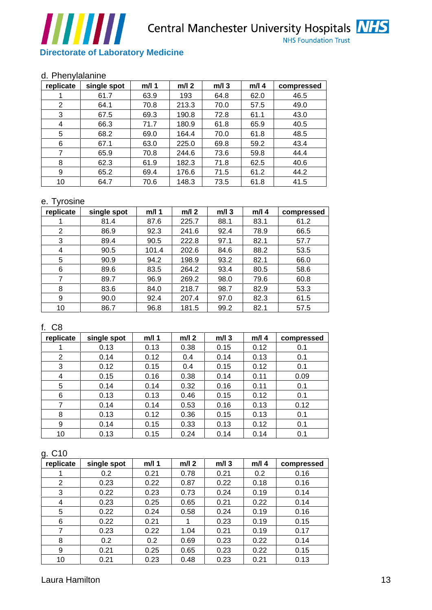

#### d. Phenylalanine

| <b>Directorate of Laboratory Medicine</b><br>$m/l$ 1<br>$m/l$ 2<br>$m/l$ 3<br>m/l 4<br>63.9<br>193<br>62.0<br>64.8<br>46.5<br>61.7<br>213.3<br>57.5<br>49.0<br>$\overline{2}$<br>64.1<br>70.8<br>70.0<br>67.5<br>69.3<br>190.8<br>72.8<br>43.0<br>3 <sup>3</sup><br>61.1<br>65.9<br>40.5<br>71.7<br>180.9<br>61.8<br>$\overline{4}$<br>66.3<br>48.5<br>70.0<br>5 <sup>5</sup><br>68.2<br>164.4<br>61.8<br>69.0<br>59.2<br>225.0<br>69.8<br>43.4<br>6<br>67.1<br>63.0<br>$\overline{7}$<br>244.6<br>73.6<br>59.8<br>44.4<br>65.9<br>70.8<br>182.3<br>62.5<br>8<br>62.3<br>61.9<br>71.8<br>40.6<br>176.6<br>71.5<br>44.2<br>9<br>65.2<br>69.4<br>61.2<br>73.5<br>41.5<br>64.7<br>70.6<br>148.3<br>61.8<br>10<br>$m/l$ 2<br>$m/l$ 4<br>single spot<br>$m/l$ 1<br>$m/l$ 3<br>225.7<br>88.1<br>83.1<br>81.4<br>87.6<br>61.2<br>$\overline{\mathbf{1}}$<br>92.4<br>78.9<br>$\overline{2}$<br>92.3<br>241.6<br>66.5<br>86.9<br>57.7<br>222.8<br>97.1<br>82.1<br>3 <sup>5</sup><br>89.4<br>90.5<br>88.2<br>53.5<br>202.6<br>84.6<br>$\overline{4}$<br>90.5<br>101.4<br>93.2<br>82.1<br>66.0<br>5 <sup>5</sup><br>198.9<br>90.9<br>94.2<br>58.6<br>$6\overline{6}$<br>264.2<br>93.4<br>80.5<br>89.6<br>83.5<br>$\overline{7}$<br>269.2<br>79.6<br>89.7<br>96.9<br>98.0<br>60.8<br>98.7<br>8<br>83.6<br>218.7<br>82.9<br>53.3<br>84.0<br>97.0<br>- 9<br>90.0<br>207.4<br>82.3<br>61.5<br>92.4<br>99.2<br>57.5<br>86.7<br>82.1<br>10<br>96.8<br>181.5<br>single spot<br>$m/l$ 2<br>$m/l$ 3<br>m/l 1<br>0.38<br>0.15<br>0.12<br>0.1<br>0.13<br>0.13<br>$\overline{2}$<br>0.12<br>0.4<br>0.14<br>0.13<br>0.1<br>0.14<br>0.4<br>0.15<br>0.15<br>0.12<br>0.12<br>0.1<br>-3<br>0.38<br>0.14<br>0.11<br>0.16<br>0.09<br>0.15<br>$\overline{4}$<br>0.1<br>0.32<br>0.16<br>$5\overline{)}$<br>0.11<br>0.14<br>0.14<br>0.1<br>0.15<br>0.12<br>6<br>0.46<br>0.13<br>0.13<br>$\overline{7}$<br>0.13<br>0.12<br>0.53<br>0.16<br>0.14<br>0.14<br>0.36<br>0.15<br>0.1<br>8<br>0.13<br>0.12<br>0.13<br>0.1<br>0.33<br>9<br>0.15<br>0.13<br>0.12<br>0.14<br>0.1<br>10<br>0.15<br>0.24<br>0.14<br>0.14<br>0.13<br>single spot<br>$m/l$ 2<br>$m/l$ 3<br>m/l 1<br>0.78<br>0.2<br>0.2<br>0.21<br>0.21<br>0.16<br>0.18<br>$\overline{2}$<br>0.23<br>0.22<br>0.87<br>0.22<br>0.16<br>0.24<br>0.73<br>0.19<br>0.14<br>3 <sup>3</sup><br>0.22<br>0.23<br>0.21<br>0.22<br>0.65<br>0.14<br>0.25<br>$\overline{4}$<br>0.23<br>5 <sup>5</sup><br>0.24<br>0.16<br>0.22<br>0.58<br>0.19<br>0.24<br>0.23<br>0.19<br>0.15<br>6<br>0.22<br>0.21<br>$\overline{1}$<br>$\overline{7}$<br>0.22<br>1.04<br>0.21<br>0.19<br>0.17<br>0.23<br>0.22<br>8<br>0.2<br>0.2<br>0.69<br>0.23<br>0.14<br>0.22<br>0.15<br>0.25<br>0.65<br>0.23<br>9<br>0.21<br>0.23<br>0.21<br>0.13<br>10<br>0.23<br>0.21<br>0.48 | ,,,,,,,,,, |  |  | <b>NHS Foundation Trust</b> |
|-------------------------------------------------------------------------------------------------------------------------------------------------------------------------------------------------------------------------------------------------------------------------------------------------------------------------------------------------------------------------------------------------------------------------------------------------------------------------------------------------------------------------------------------------------------------------------------------------------------------------------------------------------------------------------------------------------------------------------------------------------------------------------------------------------------------------------------------------------------------------------------------------------------------------------------------------------------------------------------------------------------------------------------------------------------------------------------------------------------------------------------------------------------------------------------------------------------------------------------------------------------------------------------------------------------------------------------------------------------------------------------------------------------------------------------------------------------------------------------------------------------------------------------------------------------------------------------------------------------------------------------------------------------------------------------------------------------------------------------------------------------------------------------------------------------------------------------------------------------------------------------------------------------------------------------------------------------------------------------------------------------------------------------------------------------------------------------------------------------------------------------------------------------------------------------------------------------------------------------------------------------------------------------------------------------------------------------------------------------------------------------------------------------------------------------------------------------------------------------------------------------------------------------------------------------------------------------------------------------------------------------------------------------------------------------------------------------------------------------------------------|------------|--|--|-----------------------------|
| compressed<br>compressed<br>C8<br>m/l 4 compressed<br>replicate<br>m/l 4 compressed                                                                                                                                                                                                                                                                                                                                                                                                                                                                                                                                                                                                                                                                                                                                                                                                                                                                                                                                                                                                                                                                                                                                                                                                                                                                                                                                                                                                                                                                                                                                                                                                                                                                                                                                                                                                                                                                                                                                                                                                                                                                                                                                                                                                                                                                                                                                                                                                                                                                                                                                                                                                                                                                   |            |  |  |                             |
| d. Phenylalanine<br>replicate single spot<br>replicate<br>g. C10<br>replicate                                                                                                                                                                                                                                                                                                                                                                                                                                                                                                                                                                                                                                                                                                                                                                                                                                                                                                                                                                                                                                                                                                                                                                                                                                                                                                                                                                                                                                                                                                                                                                                                                                                                                                                                                                                                                                                                                                                                                                                                                                                                                                                                                                                                                                                                                                                                                                                                                                                                                                                                                                                                                                                                         |            |  |  |                             |
|                                                                                                                                                                                                                                                                                                                                                                                                                                                                                                                                                                                                                                                                                                                                                                                                                                                                                                                                                                                                                                                                                                                                                                                                                                                                                                                                                                                                                                                                                                                                                                                                                                                                                                                                                                                                                                                                                                                                                                                                                                                                                                                                                                                                                                                                                                                                                                                                                                                                                                                                                                                                                                                                                                                                                       |            |  |  |                             |
|                                                                                                                                                                                                                                                                                                                                                                                                                                                                                                                                                                                                                                                                                                                                                                                                                                                                                                                                                                                                                                                                                                                                                                                                                                                                                                                                                                                                                                                                                                                                                                                                                                                                                                                                                                                                                                                                                                                                                                                                                                                                                                                                                                                                                                                                                                                                                                                                                                                                                                                                                                                                                                                                                                                                                       |            |  |  |                             |
|                                                                                                                                                                                                                                                                                                                                                                                                                                                                                                                                                                                                                                                                                                                                                                                                                                                                                                                                                                                                                                                                                                                                                                                                                                                                                                                                                                                                                                                                                                                                                                                                                                                                                                                                                                                                                                                                                                                                                                                                                                                                                                                                                                                                                                                                                                                                                                                                                                                                                                                                                                                                                                                                                                                                                       |            |  |  |                             |
| e. Tyrosine<br>Laura Hamilton                                                                                                                                                                                                                                                                                                                                                                                                                                                                                                                                                                                                                                                                                                                                                                                                                                                                                                                                                                                                                                                                                                                                                                                                                                                                                                                                                                                                                                                                                                                                                                                                                                                                                                                                                                                                                                                                                                                                                                                                                                                                                                                                                                                                                                                                                                                                                                                                                                                                                                                                                                                                                                                                                                                         |            |  |  |                             |
|                                                                                                                                                                                                                                                                                                                                                                                                                                                                                                                                                                                                                                                                                                                                                                                                                                                                                                                                                                                                                                                                                                                                                                                                                                                                                                                                                                                                                                                                                                                                                                                                                                                                                                                                                                                                                                                                                                                                                                                                                                                                                                                                                                                                                                                                                                                                                                                                                                                                                                                                                                                                                                                                                                                                                       |            |  |  |                             |
|                                                                                                                                                                                                                                                                                                                                                                                                                                                                                                                                                                                                                                                                                                                                                                                                                                                                                                                                                                                                                                                                                                                                                                                                                                                                                                                                                                                                                                                                                                                                                                                                                                                                                                                                                                                                                                                                                                                                                                                                                                                                                                                                                                                                                                                                                                                                                                                                                                                                                                                                                                                                                                                                                                                                                       |            |  |  |                             |
|                                                                                                                                                                                                                                                                                                                                                                                                                                                                                                                                                                                                                                                                                                                                                                                                                                                                                                                                                                                                                                                                                                                                                                                                                                                                                                                                                                                                                                                                                                                                                                                                                                                                                                                                                                                                                                                                                                                                                                                                                                                                                                                                                                                                                                                                                                                                                                                                                                                                                                                                                                                                                                                                                                                                                       |            |  |  |                             |
|                                                                                                                                                                                                                                                                                                                                                                                                                                                                                                                                                                                                                                                                                                                                                                                                                                                                                                                                                                                                                                                                                                                                                                                                                                                                                                                                                                                                                                                                                                                                                                                                                                                                                                                                                                                                                                                                                                                                                                                                                                                                                                                                                                                                                                                                                                                                                                                                                                                                                                                                                                                                                                                                                                                                                       |            |  |  |                             |
|                                                                                                                                                                                                                                                                                                                                                                                                                                                                                                                                                                                                                                                                                                                                                                                                                                                                                                                                                                                                                                                                                                                                                                                                                                                                                                                                                                                                                                                                                                                                                                                                                                                                                                                                                                                                                                                                                                                                                                                                                                                                                                                                                                                                                                                                                                                                                                                                                                                                                                                                                                                                                                                                                                                                                       |            |  |  |                             |
|                                                                                                                                                                                                                                                                                                                                                                                                                                                                                                                                                                                                                                                                                                                                                                                                                                                                                                                                                                                                                                                                                                                                                                                                                                                                                                                                                                                                                                                                                                                                                                                                                                                                                                                                                                                                                                                                                                                                                                                                                                                                                                                                                                                                                                                                                                                                                                                                                                                                                                                                                                                                                                                                                                                                                       |            |  |  |                             |
|                                                                                                                                                                                                                                                                                                                                                                                                                                                                                                                                                                                                                                                                                                                                                                                                                                                                                                                                                                                                                                                                                                                                                                                                                                                                                                                                                                                                                                                                                                                                                                                                                                                                                                                                                                                                                                                                                                                                                                                                                                                                                                                                                                                                                                                                                                                                                                                                                                                                                                                                                                                                                                                                                                                                                       |            |  |  |                             |
|                                                                                                                                                                                                                                                                                                                                                                                                                                                                                                                                                                                                                                                                                                                                                                                                                                                                                                                                                                                                                                                                                                                                                                                                                                                                                                                                                                                                                                                                                                                                                                                                                                                                                                                                                                                                                                                                                                                                                                                                                                                                                                                                                                                                                                                                                                                                                                                                                                                                                                                                                                                                                                                                                                                                                       |            |  |  |                             |
|                                                                                                                                                                                                                                                                                                                                                                                                                                                                                                                                                                                                                                                                                                                                                                                                                                                                                                                                                                                                                                                                                                                                                                                                                                                                                                                                                                                                                                                                                                                                                                                                                                                                                                                                                                                                                                                                                                                                                                                                                                                                                                                                                                                                                                                                                                                                                                                                                                                                                                                                                                                                                                                                                                                                                       |            |  |  |                             |
|                                                                                                                                                                                                                                                                                                                                                                                                                                                                                                                                                                                                                                                                                                                                                                                                                                                                                                                                                                                                                                                                                                                                                                                                                                                                                                                                                                                                                                                                                                                                                                                                                                                                                                                                                                                                                                                                                                                                                                                                                                                                                                                                                                                                                                                                                                                                                                                                                                                                                                                                                                                                                                                                                                                                                       |            |  |  |                             |
|                                                                                                                                                                                                                                                                                                                                                                                                                                                                                                                                                                                                                                                                                                                                                                                                                                                                                                                                                                                                                                                                                                                                                                                                                                                                                                                                                                                                                                                                                                                                                                                                                                                                                                                                                                                                                                                                                                                                                                                                                                                                                                                                                                                                                                                                                                                                                                                                                                                                                                                                                                                                                                                                                                                                                       |            |  |  |                             |
|                                                                                                                                                                                                                                                                                                                                                                                                                                                                                                                                                                                                                                                                                                                                                                                                                                                                                                                                                                                                                                                                                                                                                                                                                                                                                                                                                                                                                                                                                                                                                                                                                                                                                                                                                                                                                                                                                                                                                                                                                                                                                                                                                                                                                                                                                                                                                                                                                                                                                                                                                                                                                                                                                                                                                       |            |  |  |                             |
|                                                                                                                                                                                                                                                                                                                                                                                                                                                                                                                                                                                                                                                                                                                                                                                                                                                                                                                                                                                                                                                                                                                                                                                                                                                                                                                                                                                                                                                                                                                                                                                                                                                                                                                                                                                                                                                                                                                                                                                                                                                                                                                                                                                                                                                                                                                                                                                                                                                                                                                                                                                                                                                                                                                                                       |            |  |  |                             |
|                                                                                                                                                                                                                                                                                                                                                                                                                                                                                                                                                                                                                                                                                                                                                                                                                                                                                                                                                                                                                                                                                                                                                                                                                                                                                                                                                                                                                                                                                                                                                                                                                                                                                                                                                                                                                                                                                                                                                                                                                                                                                                                                                                                                                                                                                                                                                                                                                                                                                                                                                                                                                                                                                                                                                       |            |  |  |                             |
|                                                                                                                                                                                                                                                                                                                                                                                                                                                                                                                                                                                                                                                                                                                                                                                                                                                                                                                                                                                                                                                                                                                                                                                                                                                                                                                                                                                                                                                                                                                                                                                                                                                                                                                                                                                                                                                                                                                                                                                                                                                                                                                                                                                                                                                                                                                                                                                                                                                                                                                                                                                                                                                                                                                                                       |            |  |  |                             |
|                                                                                                                                                                                                                                                                                                                                                                                                                                                                                                                                                                                                                                                                                                                                                                                                                                                                                                                                                                                                                                                                                                                                                                                                                                                                                                                                                                                                                                                                                                                                                                                                                                                                                                                                                                                                                                                                                                                                                                                                                                                                                                                                                                                                                                                                                                                                                                                                                                                                                                                                                                                                                                                                                                                                                       |            |  |  |                             |
|                                                                                                                                                                                                                                                                                                                                                                                                                                                                                                                                                                                                                                                                                                                                                                                                                                                                                                                                                                                                                                                                                                                                                                                                                                                                                                                                                                                                                                                                                                                                                                                                                                                                                                                                                                                                                                                                                                                                                                                                                                                                                                                                                                                                                                                                                                                                                                                                                                                                                                                                                                                                                                                                                                                                                       |            |  |  |                             |
|                                                                                                                                                                                                                                                                                                                                                                                                                                                                                                                                                                                                                                                                                                                                                                                                                                                                                                                                                                                                                                                                                                                                                                                                                                                                                                                                                                                                                                                                                                                                                                                                                                                                                                                                                                                                                                                                                                                                                                                                                                                                                                                                                                                                                                                                                                                                                                                                                                                                                                                                                                                                                                                                                                                                                       |            |  |  |                             |
|                                                                                                                                                                                                                                                                                                                                                                                                                                                                                                                                                                                                                                                                                                                                                                                                                                                                                                                                                                                                                                                                                                                                                                                                                                                                                                                                                                                                                                                                                                                                                                                                                                                                                                                                                                                                                                                                                                                                                                                                                                                                                                                                                                                                                                                                                                                                                                                                                                                                                                                                                                                                                                                                                                                                                       |            |  |  |                             |
|                                                                                                                                                                                                                                                                                                                                                                                                                                                                                                                                                                                                                                                                                                                                                                                                                                                                                                                                                                                                                                                                                                                                                                                                                                                                                                                                                                                                                                                                                                                                                                                                                                                                                                                                                                                                                                                                                                                                                                                                                                                                                                                                                                                                                                                                                                                                                                                                                                                                                                                                                                                                                                                                                                                                                       |            |  |  |                             |
|                                                                                                                                                                                                                                                                                                                                                                                                                                                                                                                                                                                                                                                                                                                                                                                                                                                                                                                                                                                                                                                                                                                                                                                                                                                                                                                                                                                                                                                                                                                                                                                                                                                                                                                                                                                                                                                                                                                                                                                                                                                                                                                                                                                                                                                                                                                                                                                                                                                                                                                                                                                                                                                                                                                                                       |            |  |  |                             |
|                                                                                                                                                                                                                                                                                                                                                                                                                                                                                                                                                                                                                                                                                                                                                                                                                                                                                                                                                                                                                                                                                                                                                                                                                                                                                                                                                                                                                                                                                                                                                                                                                                                                                                                                                                                                                                                                                                                                                                                                                                                                                                                                                                                                                                                                                                                                                                                                                                                                                                                                                                                                                                                                                                                                                       |            |  |  |                             |
|                                                                                                                                                                                                                                                                                                                                                                                                                                                                                                                                                                                                                                                                                                                                                                                                                                                                                                                                                                                                                                                                                                                                                                                                                                                                                                                                                                                                                                                                                                                                                                                                                                                                                                                                                                                                                                                                                                                                                                                                                                                                                                                                                                                                                                                                                                                                                                                                                                                                                                                                                                                                                                                                                                                                                       |            |  |  |                             |
|                                                                                                                                                                                                                                                                                                                                                                                                                                                                                                                                                                                                                                                                                                                                                                                                                                                                                                                                                                                                                                                                                                                                                                                                                                                                                                                                                                                                                                                                                                                                                                                                                                                                                                                                                                                                                                                                                                                                                                                                                                                                                                                                                                                                                                                                                                                                                                                                                                                                                                                                                                                                                                                                                                                                                       |            |  |  |                             |
|                                                                                                                                                                                                                                                                                                                                                                                                                                                                                                                                                                                                                                                                                                                                                                                                                                                                                                                                                                                                                                                                                                                                                                                                                                                                                                                                                                                                                                                                                                                                                                                                                                                                                                                                                                                                                                                                                                                                                                                                                                                                                                                                                                                                                                                                                                                                                                                                                                                                                                                                                                                                                                                                                                                                                       |            |  |  |                             |
|                                                                                                                                                                                                                                                                                                                                                                                                                                                                                                                                                                                                                                                                                                                                                                                                                                                                                                                                                                                                                                                                                                                                                                                                                                                                                                                                                                                                                                                                                                                                                                                                                                                                                                                                                                                                                                                                                                                                                                                                                                                                                                                                                                                                                                                                                                                                                                                                                                                                                                                                                                                                                                                                                                                                                       |            |  |  |                             |
|                                                                                                                                                                                                                                                                                                                                                                                                                                                                                                                                                                                                                                                                                                                                                                                                                                                                                                                                                                                                                                                                                                                                                                                                                                                                                                                                                                                                                                                                                                                                                                                                                                                                                                                                                                                                                                                                                                                                                                                                                                                                                                                                                                                                                                                                                                                                                                                                                                                                                                                                                                                                                                                                                                                                                       |            |  |  |                             |
|                                                                                                                                                                                                                                                                                                                                                                                                                                                                                                                                                                                                                                                                                                                                                                                                                                                                                                                                                                                                                                                                                                                                                                                                                                                                                                                                                                                                                                                                                                                                                                                                                                                                                                                                                                                                                                                                                                                                                                                                                                                                                                                                                                                                                                                                                                                                                                                                                                                                                                                                                                                                                                                                                                                                                       |            |  |  |                             |
|                                                                                                                                                                                                                                                                                                                                                                                                                                                                                                                                                                                                                                                                                                                                                                                                                                                                                                                                                                                                                                                                                                                                                                                                                                                                                                                                                                                                                                                                                                                                                                                                                                                                                                                                                                                                                                                                                                                                                                                                                                                                                                                                                                                                                                                                                                                                                                                                                                                                                                                                                                                                                                                                                                                                                       |            |  |  |                             |
|                                                                                                                                                                                                                                                                                                                                                                                                                                                                                                                                                                                                                                                                                                                                                                                                                                                                                                                                                                                                                                                                                                                                                                                                                                                                                                                                                                                                                                                                                                                                                                                                                                                                                                                                                                                                                                                                                                                                                                                                                                                                                                                                                                                                                                                                                                                                                                                                                                                                                                                                                                                                                                                                                                                                                       |            |  |  |                             |
|                                                                                                                                                                                                                                                                                                                                                                                                                                                                                                                                                                                                                                                                                                                                                                                                                                                                                                                                                                                                                                                                                                                                                                                                                                                                                                                                                                                                                                                                                                                                                                                                                                                                                                                                                                                                                                                                                                                                                                                                                                                                                                                                                                                                                                                                                                                                                                                                                                                                                                                                                                                                                                                                                                                                                       |            |  |  |                             |
|                                                                                                                                                                                                                                                                                                                                                                                                                                                                                                                                                                                                                                                                                                                                                                                                                                                                                                                                                                                                                                                                                                                                                                                                                                                                                                                                                                                                                                                                                                                                                                                                                                                                                                                                                                                                                                                                                                                                                                                                                                                                                                                                                                                                                                                                                                                                                                                                                                                                                                                                                                                                                                                                                                                                                       |            |  |  |                             |
|                                                                                                                                                                                                                                                                                                                                                                                                                                                                                                                                                                                                                                                                                                                                                                                                                                                                                                                                                                                                                                                                                                                                                                                                                                                                                                                                                                                                                                                                                                                                                                                                                                                                                                                                                                                                                                                                                                                                                                                                                                                                                                                                                                                                                                                                                                                                                                                                                                                                                                                                                                                                                                                                                                                                                       |            |  |  |                             |
|                                                                                                                                                                                                                                                                                                                                                                                                                                                                                                                                                                                                                                                                                                                                                                                                                                                                                                                                                                                                                                                                                                                                                                                                                                                                                                                                                                                                                                                                                                                                                                                                                                                                                                                                                                                                                                                                                                                                                                                                                                                                                                                                                                                                                                                                                                                                                                                                                                                                                                                                                                                                                                                                                                                                                       |            |  |  |                             |
|                                                                                                                                                                                                                                                                                                                                                                                                                                                                                                                                                                                                                                                                                                                                                                                                                                                                                                                                                                                                                                                                                                                                                                                                                                                                                                                                                                                                                                                                                                                                                                                                                                                                                                                                                                                                                                                                                                                                                                                                                                                                                                                                                                                                                                                                                                                                                                                                                                                                                                                                                                                                                                                                                                                                                       |            |  |  |                             |
|                                                                                                                                                                                                                                                                                                                                                                                                                                                                                                                                                                                                                                                                                                                                                                                                                                                                                                                                                                                                                                                                                                                                                                                                                                                                                                                                                                                                                                                                                                                                                                                                                                                                                                                                                                                                                                                                                                                                                                                                                                                                                                                                                                                                                                                                                                                                                                                                                                                                                                                                                                                                                                                                                                                                                       |            |  |  |                             |
|                                                                                                                                                                                                                                                                                                                                                                                                                                                                                                                                                                                                                                                                                                                                                                                                                                                                                                                                                                                                                                                                                                                                                                                                                                                                                                                                                                                                                                                                                                                                                                                                                                                                                                                                                                                                                                                                                                                                                                                                                                                                                                                                                                                                                                                                                                                                                                                                                                                                                                                                                                                                                                                                                                                                                       |            |  |  |                             |
|                                                                                                                                                                                                                                                                                                                                                                                                                                                                                                                                                                                                                                                                                                                                                                                                                                                                                                                                                                                                                                                                                                                                                                                                                                                                                                                                                                                                                                                                                                                                                                                                                                                                                                                                                                                                                                                                                                                                                                                                                                                                                                                                                                                                                                                                                                                                                                                                                                                                                                                                                                                                                                                                                                                                                       |            |  |  |                             |
|                                                                                                                                                                                                                                                                                                                                                                                                                                                                                                                                                                                                                                                                                                                                                                                                                                                                                                                                                                                                                                                                                                                                                                                                                                                                                                                                                                                                                                                                                                                                                                                                                                                                                                                                                                                                                                                                                                                                                                                                                                                                                                                                                                                                                                                                                                                                                                                                                                                                                                                                                                                                                                                                                                                                                       |            |  |  |                             |
|                                                                                                                                                                                                                                                                                                                                                                                                                                                                                                                                                                                                                                                                                                                                                                                                                                                                                                                                                                                                                                                                                                                                                                                                                                                                                                                                                                                                                                                                                                                                                                                                                                                                                                                                                                                                                                                                                                                                                                                                                                                                                                                                                                                                                                                                                                                                                                                                                                                                                                                                                                                                                                                                                                                                                       |            |  |  |                             |
|                                                                                                                                                                                                                                                                                                                                                                                                                                                                                                                                                                                                                                                                                                                                                                                                                                                                                                                                                                                                                                                                                                                                                                                                                                                                                                                                                                                                                                                                                                                                                                                                                                                                                                                                                                                                                                                                                                                                                                                                                                                                                                                                                                                                                                                                                                                                                                                                                                                                                                                                                                                                                                                                                                                                                       |            |  |  |                             |
|                                                                                                                                                                                                                                                                                                                                                                                                                                                                                                                                                                                                                                                                                                                                                                                                                                                                                                                                                                                                                                                                                                                                                                                                                                                                                                                                                                                                                                                                                                                                                                                                                                                                                                                                                                                                                                                                                                                                                                                                                                                                                                                                                                                                                                                                                                                                                                                                                                                                                                                                                                                                                                                                                                                                                       |            |  |  |                             |

## e. Tyrosine

| replicate | single spot | $m/l$ 1 | $m/l$ 2 | m/l 3 | $m/l$ 4          | compressed |
|-----------|-------------|---------|---------|-------|------------------|------------|
|           | 81.4        | 87.6    | 225.7   | 88.1  | 83.1             | 61.2       |
|           | 86.9        | 92.3    | 241.6   | 92.4  | 78.9             | 66.5       |
|           | 89.4        | 90.5    | 222.8   | 97.1  | 82.1             | 57.7       |
|           | 90.5        | 101.4   | 202.6   | 84.6  | 88.2             | 53.5       |
|           | 90.9        | 94.2    | 198.9   | 93.2  | 82.1             | 66.0       |
|           | 89.6        | 83.5    | 264.2   | 93.4  | 80.5             | 58.6       |
|           | 89.7        | 96.9    | 269.2   | 98.0  | 79.6             | 60.8       |
|           | 83.6        | 84.0    | 218.7   | 98.7  | 82.9             | 53.3       |
|           | 90.0        | 92.4    | 207.4   | 97.0  | 82.3             | 61.5       |
|           | 86.7        | 96.8    | 181.5   | 99.2  | $\Omega$<br>04.1 | 57.5       |

# f. C8

| replicate | single spot | m/l 1 | $m/l$ 2 | $m/l$ 3 | $m/l$ 4 | compressed |
|-----------|-------------|-------|---------|---------|---------|------------|
|           | 0.13        | 0.13  | 0.38    | 0.15    | 0.12    | 0.1        |
|           | 0.14        | 0.12  | 0.4     | 0.14    | 0.13    | 0.1        |
|           | 0.12        | 0.15  | 0.4     | 0.15    | 0.12    | 0.1        |
|           | 0.15        | 0.16  | 0.38    | 0.14    | 0.11    | 0.09       |
|           | 0.14        | 0.14  | 0.32    | 0.16    | 0.11    | 0.1        |
|           | 0.13        | 0.13  | 0.46    | 0.15    | 0.12    | 0.1        |
|           | 0.14        | 0.14  | 0.53    | 0.16    | 0.13    | 0.12       |
|           | 0.13        | 0.12  | 0.36    | 0.15    | 0.13    | 0.1        |
|           | 0.14        | 0.15  | 0.33    | 0.13    | 0.12    | 0.1        |
|           | 0.13        | 0.15  | 0.24    | 0.14    | 0.14    | 0.1        |

| <u>g. C10</u> |             |       |         |         |         |            |
|---------------|-------------|-------|---------|---------|---------|------------|
| replicate     | single spot | m/l 1 | $m/l$ 2 | $m/l$ 3 | $m/l$ 4 | compressed |
|               | 0.2         | 0.21  | 0.78    | 0.21    | 0.2     | 0.16       |
|               | 0.23        | 0.22  | 0.87    | 0.22    | 0.18    | 0.16       |
|               | 0.22        | 0.23  | 0.73    | 0.24    | 0.19    | 0.14       |
|               | 0.23        | 0.25  | 0.65    | 0.21    | 0.22    | 0.14       |
|               | 0.22        | 0.24  | 0.58    | 0.24    | 0.19    | 0.16       |
|               | 0.22        | 0.21  |         | 0.23    | 0.19    | 0.15       |
|               | 0.23        | 0.22  | 1.04    | 0.21    | 0.19    | 0.17       |
|               | 0.2         | 0.2   | 0.69    | 0.23    | 0.22    | 0.14       |
|               | 0.21        | 0.25  | 0.65    | 0.23    | 0.22    | 0.15       |
| $10-1$        | 0.21        | 0.23  | 0.48    | 0.23    | 0.21    | 0.13       |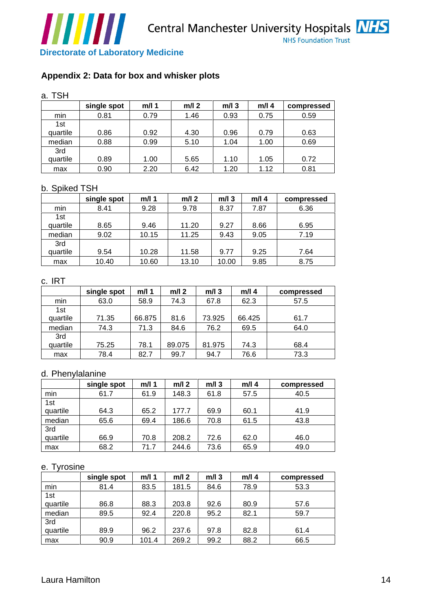

# **Appendix 2: Data for box and whisker plots**

|                                                                                                                   | ,,,,,,,,,                                  |              |                |         |              | <b>NHS Foundation Trust</b> |
|-------------------------------------------------------------------------------------------------------------------|--------------------------------------------|--------------|----------------|---------|--------------|-----------------------------|
|                                                                                                                   | <b>Directorate of Laboratory Medicine</b>  |              |                |         |              |                             |
|                                                                                                                   |                                            |              |                |         |              |                             |
|                                                                                                                   | Appendix 2: Data for box and whisker plots |              |                |         |              |                             |
|                                                                                                                   |                                            |              |                |         |              |                             |
| a. TSH                                                                                                            |                                            |              |                |         |              |                             |
|                                                                                                                   | single spot                                | $m/l$ 1      | $m/l$ 2        | $m/l$ 3 | $m/l$ 4      | compressed                  |
| min                                                                                                               | 0.81                                       | 0.79         | 1.46           | 0.93    | 0.75         | 0.59                        |
| 1st                                                                                                               |                                            |              |                |         |              |                             |
| quartile                                                                                                          | 0.86                                       | 0.92         | 4.30           | 0.96    | 0.79         | 0.63                        |
| median                                                                                                            | 0.88                                       | 0.99         | 5.10           | 1.04    | 1.00         | 0.69                        |
| 3rd<br>quartile                                                                                                   | 0.89                                       | 1.00         | 5.65           | 1.10    | 1.05         | 0.72                        |
| max                                                                                                               | 0.90                                       | 2.20         | 6.42           | 1.20    | 1.12         | 0.81                        |
|                                                                                                                   |                                            |              |                |         |              |                             |
| b. Spiked TSH                                                                                                     |                                            |              |                |         |              |                             |
|                                                                                                                   | single spot                                | $m/l$ 1      | $m/l$ 2        | $m/l$ 3 | $m/l$ 4      | compressed                  |
| min                                                                                                               | 8.41                                       | 9.28         | 9.78           | 8.37    | 7.87         | 6.36                        |
| 1st<br>quartile                                                                                                   | 8.65                                       | 9.46         | 11.20          | 9.27    | 8.66         | 6.95                        |
| median                                                                                                            | 9.02                                       | 10.15        | 11.25          | 9.43    | 9.05         | 7.19                        |
| 3rd                                                                                                               |                                            |              |                |         |              |                             |
| quartile                                                                                                          | 9.54                                       | 10.28        | 11.58          | 9.77    | 9.25         | 7.64                        |
| max                                                                                                               | 10.40                                      | 10.60        | 13.10          | 10.00   | 9.85         | 8.75                        |
|                                                                                                                   |                                            |              |                |         |              |                             |
| c. IRT                                                                                                            |                                            |              |                |         |              |                             |
|                                                                                                                   | single spot   m/l 1                        |              | $m/l$ 2        | $m/l$ 3 | $m/l$ 4      | compressed                  |
| min<br>1st                                                                                                        | 63.0                                       | 58.9         | 74.3           | 67.8    | 62.3         | 57.5                        |
| quartile                                                                                                          | 71.35                                      | 66.875       | 81.6           | 73.925  | 66.425       | 61.7                        |
| median                                                                                                            | 74.3                                       | 71.3         | 84.6           | 76.2    | 69.5         | 64.0                        |
| 3rd                                                                                                               |                                            |              |                |         |              |                             |
| quartile                                                                                                          | 75.25                                      | 78.1         | 89.075         | 81.975  | 74.3<br>76.6 | 68.4                        |
| max                                                                                                               | 78.4                                       | 82.7         | 99.7           | 94.7    |              | 73.3                        |
| d. Phenylalanine                                                                                                  |                                            |              |                |         |              |                             |
|                                                                                                                   | single spot                                | $m/l$ 1      | $m/l$ 2        | $m/l$ 3 | $m/l$ 4      | compressed                  |
|                                                                                                                   | 61.7                                       | 61.9         | 148.3          | 61.8    | 57.5         | 40.5                        |
| $\frac{min}{1st}$                                                                                                 |                                            |              |                |         |              |                             |
| quartile                                                                                                          | 64.3                                       | 65.2         | 177.7          | 69.9    | 60.1         | 41.9                        |
| median                                                                                                            | 65.6                                       | 69.4         | 186.6          | 70.8    | 61.5         | 43.8                        |
| 3rd<br>quartile                                                                                                   | 66.9                                       | 70.8         | 208.2          | 72.6    | 62.0         | 46.0                        |
| max                                                                                                               | 68.2                                       | 71.7         | 244.6          | 73.6    | 65.9         | 49.0                        |
|                                                                                                                   |                                            |              |                |         |              |                             |
| e. Tyrosine                                                                                                       |                                            |              |                |         |              |                             |
|                                                                                                                   | single spot                                | $m/l$ 1      | $m/l$ 2        | $m/l$ 3 | $m/l$ 4      | compressed                  |
| $\begin{array}{ c c }\n \hline \text{min} & \text{min} \\  \hline \text{1st} & \text{min} \\  \hline \end{array}$ | 81.4                                       | 83.5         | 181.5          | 84.6    | 78.9         | 53.3                        |
|                                                                                                                   |                                            |              |                |         |              |                             |
| quartile                                                                                                          | 86.8<br>89.5                               | 88.3<br>92.4 | 203.8<br>220.8 | 92.6    | 80.9         | 57.6<br>59.7                |
| median<br>3rd                                                                                                     |                                            |              |                | 95.2    | 82.1         |                             |
| quartile                                                                                                          | 89.9                                       | 96.2         | 237.6          | 97.8    | 82.8         | 61.4                        |
| max                                                                                                               | 90.9                                       | 101.4        | 269.2          | 99.2    | 88.2         | 66.5                        |
|                                                                                                                   |                                            |              |                |         |              |                             |
|                                                                                                                   |                                            |              |                |         |              |                             |
|                                                                                                                   |                                            |              |                |         |              |                             |
| Laura Hamilton                                                                                                    |                                            |              |                |         |              |                             |

#### b. Spiked TSH

|                                    | $\_$ single spot | m/l   | $m/l$ 2 | $m/l$ 3 | m/l 4 | compressed |
|------------------------------------|------------------|-------|---------|---------|-------|------------|
| min                                |                  | 9.28  | 9.78    | 8.37    | 7.87  | 6.36       |
| 1st                                |                  |       |         |         |       |            |
| quartile                           | 8.65             | 9.46  | 11.20   | 9.27    | 8.66  | 6.95       |
|                                    | 9.02             | 10.15 | 11.25   | 9.43    | 9.05  | 7.19       |
| $\frac{\text{median}}{\text{3rd}}$ |                  |       |         |         |       |            |
| quartile                           | 9.54             | 10.28 | 11.58   | 9.77    | 9.25  | 7.64       |
| max                                | 10.40            | 10.60 | 13.10   | 10.00   | 9.85  | 8.75       |

| c. IRT   |                     |        |         |             |         |                                             |
|----------|---------------------|--------|---------|-------------|---------|---------------------------------------------|
|          | single spot   m/l 1 |        | $m/l$ 2 | $m/l$ 3     | $m/l$ 4 | compressed                                  |
| min      | 63.0                | 58.9   | 74.3    | 67.8        | 62.3    | 57.5                                        |
| 1st      |                     |        |         |             |         |                                             |
| quartile | 71.35               | 66.875 | 81.6    | 73.925      | 66.425  | 61.7<br>the contract of the contract of the |
| median   | 74.3                | 71.3   | 84.6    | 700<br>70.Z | 69.5    | 64.0                                        |
| 3rd      |                     |        |         |             |         |                                             |
| quartile | 75.25               | 78.1   | 89.075  | 81.975      | 74.3    | 68.4                                        |
| max      | 78.4                | 82.7   | 99.7    | 047<br>יי⊤י | 76.6    | 73.3                                        |

#### d. Phenylalanine

|                                            | single spot | m/l 1 | $m/l$ 2       | $m/l$ 3 | $m/l$ 4 | compressed |
|--------------------------------------------|-------------|-------|---------------|---------|---------|------------|
|                                            | 61.7        | 61.9  | 148.3         | 61.8    | 57.5    | 40.5       |
| ∣ min<br>the control of the control of the |             |       |               |         |         |            |
| 1st                                        |             |       |               |         |         |            |
| quartile                                   | 64.3        | 65.2  | 1777<br>.     | 69.9    | 60.1    | 41.9       |
| median                                     | 65.6        | 69.4  | 1000<br>100.0 | 70.8    | 61.5    | 43.8       |
| 3rd                                        |             |       |               |         |         |            |
| quartile                                   | 66.9        | 70.8  | 208.2         | 72.6    | 62.0    | 46.0       |
| $\mathsf{max}$                             | 68.2        | 71.7  | 244.6         | 73.6    | 65.9    | 49.0       |

| e. Tyrosine                              |             |       |         |         |         |            |
|------------------------------------------|-------------|-------|---------|---------|---------|------------|
|                                          | single spot | m/l   | $m/l$ 2 | $m/l$ 3 | $m/l$ 4 | compressed |
| min<br>and the control of the control of | 81.4        | 83.5  | 181.5   | 84.6    | 78.9    | 53.3       |
| 1st                                      |             |       |         |         |         |            |
| quartile                                 | 86.8        | 88.3  | 203.8   | 92.6    | 80.9    | 57.6       |
| median                                   | 89.5        | 92.4  | 220.8   | 95.2    | 82.1    | 59.7       |
| 3rd                                      |             |       |         |         |         |            |
| quartile                                 | 89.9        | 96.2  | 237.6   | 97.8    | 82.8    | 61.4       |
| max                                      | 90.9        | 101.4 | 269.2   | 99.2    | 88.2    | 66.5       |